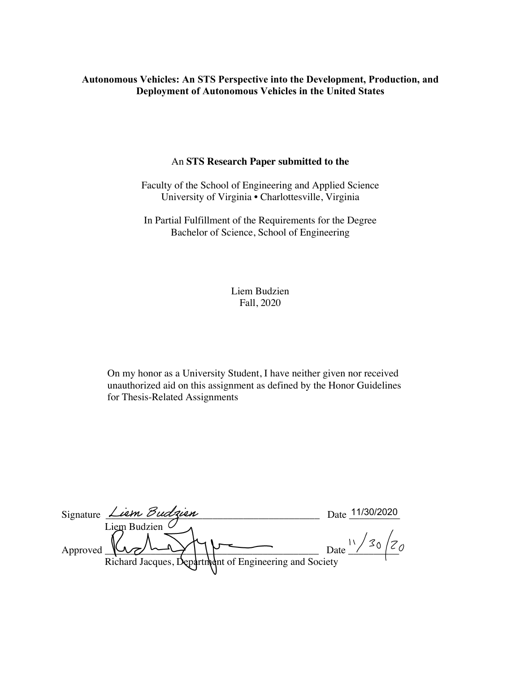# **Autonomous Vehicles: An STS Perspective into the Development, Production, and Deployment of Autonomous Vehicles in the United States**

# An **STS Research Paper submitted to the**

Faculty of the School of Engineering and Applied Science University of Virginia • Charlottesville, Virginia

In Partial Fulfillment of the Requirements for the Degree Bachelor of Science, School of Engineering

> Liem Budzien Fall, 2020

On my honor as a University Student, I have neither given nor received unauthorized aid on this assignment as defined by the Honor Guidelines for Thesis-Related Assignments

| Signature <i>Liem Budzien</i>                          | 11/30/2020<br>Date |
|--------------------------------------------------------|--------------------|
| Liem Budzien                                           |                    |
| Approved                                               | Date               |
| Richard Jacques, Department of Engineering and Society |                    |
|                                                        |                    |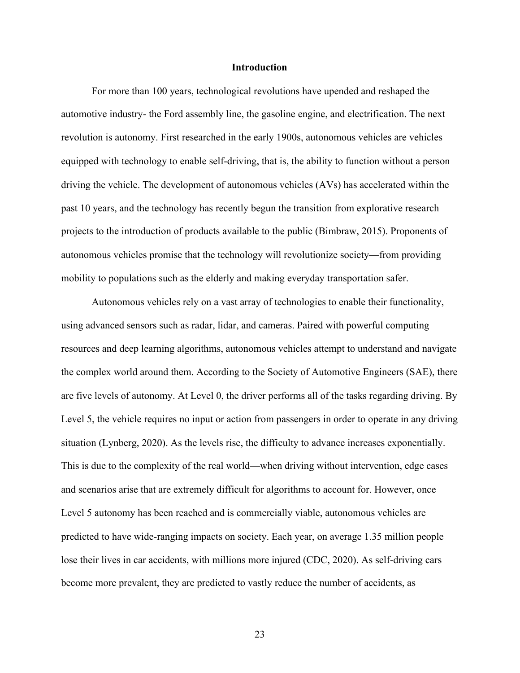## **Introduction**

For more than 100 years, technological revolutions have upended and reshaped the automotive industry- the Ford assembly line, the gasoline engine, and electrification. The next revolution is autonomy. First researched in the early 1900s, autonomous vehicles are vehicles equipped with technology to enable self-driving, that is, the ability to function without a person driving the vehicle. The development of autonomous vehicles (AVs) has accelerated within the past 10 years, and the technology has recently begun the transition from explorative research projects to the introduction of products available to the public (Bimbraw, 2015). Proponents of autonomous vehicles promise that the technology will revolutionize society—from providing mobility to populations such as the elderly and making everyday transportation safer.

Autonomous vehicles rely on a vast array of technologies to enable their functionality, using advanced sensors such as radar, lidar, and cameras. Paired with powerful computing resources and deep learning algorithms, autonomous vehicles attempt to understand and navigate the complex world around them. According to the Society of Automotive Engineers (SAE), there are five levels of autonomy. At Level 0, the driver performs all of the tasks regarding driving. By Level 5, the vehicle requires no input or action from passengers in order to operate in any driving situation (Lynberg, 2020). As the levels rise, the difficulty to advance increases exponentially. This is due to the complexity of the real world—when driving without intervention, edge cases and scenarios arise that are extremely difficult for algorithms to account for. However, once Level 5 autonomy has been reached and is commercially viable, autonomous vehicles are predicted to have wide-ranging impacts on society. Each year, on average 1.35 million people lose their lives in car accidents, with millions more injured (CDC, 2020). As self-driving cars become more prevalent, they are predicted to vastly reduce the number of accidents, as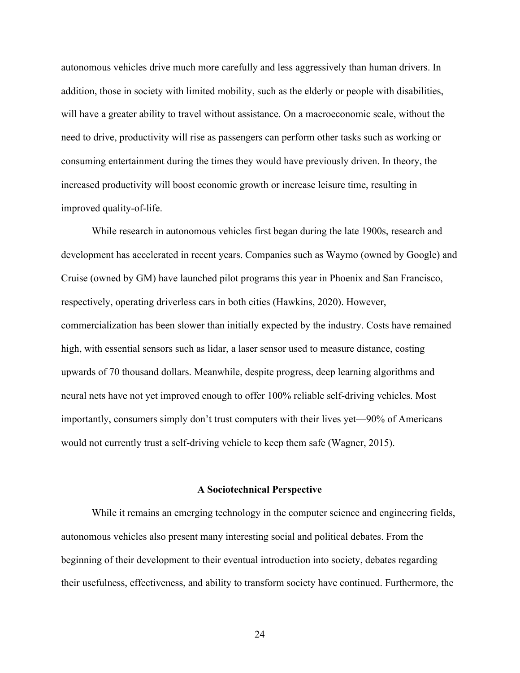autonomous vehicles drive much more carefully and less aggressively than human drivers. In addition, those in society with limited mobility, such as the elderly or people with disabilities, will have a greater ability to travel without assistance. On a macroeconomic scale, without the need to drive, productivity will rise as passengers can perform other tasks such as working or consuming entertainment during the times they would have previously driven. In theory, the increased productivity will boost economic growth or increase leisure time, resulting in improved quality-of-life.

While research in autonomous vehicles first began during the late 1900s, research and development has accelerated in recent years. Companies such as Waymo (owned by Google) and Cruise (owned by GM) have launched pilot programs this year in Phoenix and San Francisco, respectively, operating driverless cars in both cities (Hawkins, 2020). However, commercialization has been slower than initially expected by the industry. Costs have remained high, with essential sensors such as lidar, a laser sensor used to measure distance, costing upwards of 70 thousand dollars. Meanwhile, despite progress, deep learning algorithms and neural nets have not yet improved enough to offer 100% reliable self-driving vehicles. Most importantly, consumers simply don't trust computers with their lives yet—90% of Americans would not currently trust a self-driving vehicle to keep them safe (Wagner, 2015).

#### **A Sociotechnical Perspective**

While it remains an emerging technology in the computer science and engineering fields, autonomous vehicles also present many interesting social and political debates. From the beginning of their development to their eventual introduction into society, debates regarding their usefulness, effectiveness, and ability to transform society have continued. Furthermore, the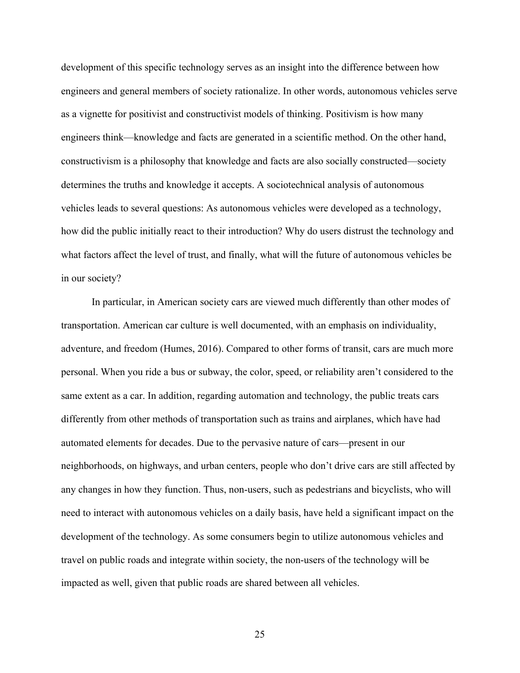development of this specific technology serves as an insight into the difference between how engineers and general members of society rationalize. In other words, autonomous vehicles serve as a vignette for positivist and constructivist models of thinking. Positivism is how many engineers think—knowledge and facts are generated in a scientific method. On the other hand, constructivism is a philosophy that knowledge and facts are also socially constructed—society determines the truths and knowledge it accepts. A sociotechnical analysis of autonomous vehicles leads to several questions: As autonomous vehicles were developed as a technology, how did the public initially react to their introduction? Why do users distrust the technology and what factors affect the level of trust, and finally, what will the future of autonomous vehicles be in our society?

In particular, in American society cars are viewed much differently than other modes of transportation. American car culture is well documented, with an emphasis on individuality, adventure, and freedom (Humes, 2016). Compared to other forms of transit, cars are much more personal. When you ride a bus or subway, the color, speed, or reliability aren't considered to the same extent as a car. In addition, regarding automation and technology, the public treats cars differently from other methods of transportation such as trains and airplanes, which have had automated elements for decades. Due to the pervasive nature of cars—present in our neighborhoods, on highways, and urban centers, people who don't drive cars are still affected by any changes in how they function. Thus, non-users, such as pedestrians and bicyclists, who will need to interact with autonomous vehicles on a daily basis, have held a significant impact on the development of the technology. As some consumers begin to utilize autonomous vehicles and travel on public roads and integrate within society, the non-users of the technology will be impacted as well, given that public roads are shared between all vehicles.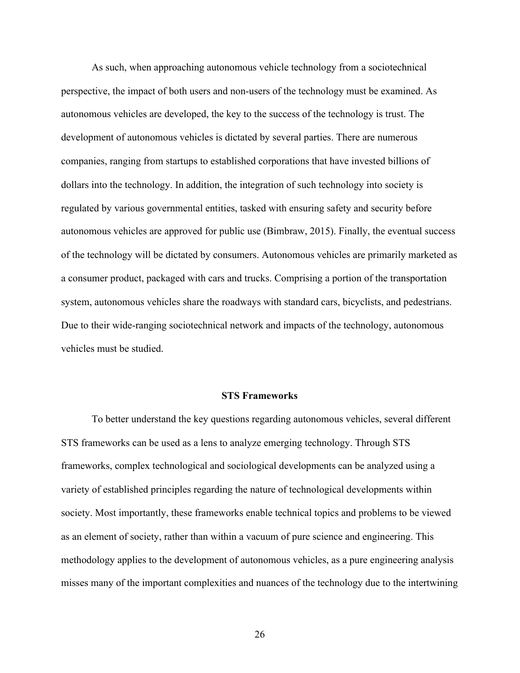As such, when approaching autonomous vehicle technology from a sociotechnical perspective, the impact of both users and non-users of the technology must be examined. As autonomous vehicles are developed, the key to the success of the technology is trust. The development of autonomous vehicles is dictated by several parties. There are numerous companies, ranging from startups to established corporations that have invested billions of dollars into the technology. In addition, the integration of such technology into society is regulated by various governmental entities, tasked with ensuring safety and security before autonomous vehicles are approved for public use (Bimbraw, 2015). Finally, the eventual success of the technology will be dictated by consumers. Autonomous vehicles are primarily marketed as a consumer product, packaged with cars and trucks. Comprising a portion of the transportation system, autonomous vehicles share the roadways with standard cars, bicyclists, and pedestrians. Due to their wide-ranging sociotechnical network and impacts of the technology, autonomous vehicles must be studied.

#### **STS Frameworks**

To better understand the key questions regarding autonomous vehicles, several different STS frameworks can be used as a lens to analyze emerging technology. Through STS frameworks, complex technological and sociological developments can be analyzed using a variety of established principles regarding the nature of technological developments within society. Most importantly, these frameworks enable technical topics and problems to be viewed as an element of society, rather than within a vacuum of pure science and engineering. This methodology applies to the development of autonomous vehicles, as a pure engineering analysis misses many of the important complexities and nuances of the technology due to the intertwining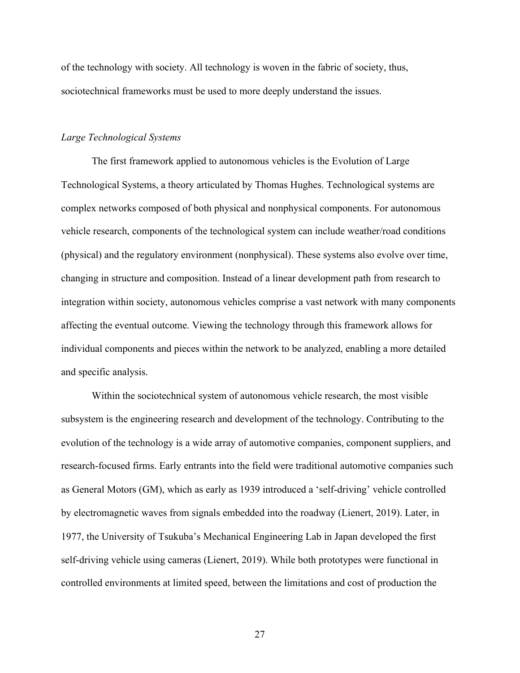of the technology with society. All technology is woven in the fabric of society, thus, sociotechnical frameworks must be used to more deeply understand the issues.

## *Large Technological Systems*

The first framework applied to autonomous vehicles is the Evolution of Large Technological Systems, a theory articulated by Thomas Hughes. Technological systems are complex networks composed of both physical and nonphysical components. For autonomous vehicle research, components of the technological system can include weather/road conditions (physical) and the regulatory environment (nonphysical). These systems also evolve over time, changing in structure and composition. Instead of a linear development path from research to integration within society, autonomous vehicles comprise a vast network with many components affecting the eventual outcome. Viewing the technology through this framework allows for individual components and pieces within the network to be analyzed, enabling a more detailed and specific analysis.

Within the sociotechnical system of autonomous vehicle research, the most visible subsystem is the engineering research and development of the technology. Contributing to the evolution of the technology is a wide array of automotive companies, component suppliers, and research-focused firms. Early entrants into the field were traditional automotive companies such as General Motors (GM), which as early as 1939 introduced a 'self-driving' vehicle controlled by electromagnetic waves from signals embedded into the roadway (Lienert, 2019). Later, in 1977, the University of Tsukuba's Mechanical Engineering Lab in Japan developed the first self-driving vehicle using cameras (Lienert, 2019). While both prototypes were functional in controlled environments at limited speed, between the limitations and cost of production the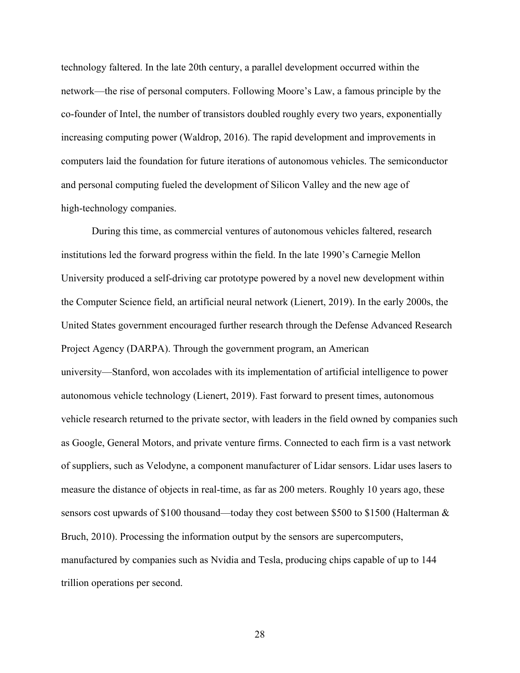technology faltered. In the late 20th century, a parallel development occurred within the network—the rise of personal computers. Following Moore's Law, a famous principle by the co-founder of Intel, the number of transistors doubled roughly every two years, exponentially increasing computing power (Waldrop, 2016). The rapid development and improvements in computers laid the foundation for future iterations of autonomous vehicles. The semiconductor and personal computing fueled the development of Silicon Valley and the new age of high-technology companies.

During this time, as commercial ventures of autonomous vehicles faltered, research institutions led the forward progress within the field. In the late 1990's Carnegie Mellon University produced a self-driving car prototype powered by a novel new development within the Computer Science field, an artificial neural network (Lienert, 2019). In the early 2000s, the United States government encouraged further research through the Defense Advanced Research Project Agency (DARPA). Through the government program, an American university—Stanford, won accolades with its implementation of artificial intelligence to power autonomous vehicle technology (Lienert, 2019). Fast forward to present times, autonomous vehicle research returned to the private sector, with leaders in the field owned by companies such as Google, General Motors, and private venture firms. Connected to each firm is a vast network of suppliers, such as Velodyne, a component manufacturer of Lidar sensors. Lidar uses lasers to measure the distance of objects in real-time, as far as 200 meters. Roughly 10 years ago, these sensors cost upwards of \$100 thousand—today they cost between \$500 to \$1500 (Halterman & Bruch, 2010). Processing the information output by the sensors are supercomputers, manufactured by companies such as Nvidia and Tesla, producing chips capable of up to 144 trillion operations per second.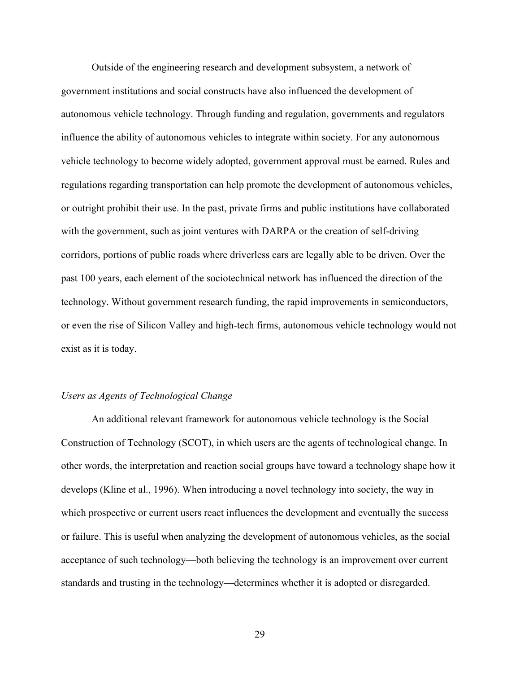Outside of the engineering research and development subsystem, a network of government institutions and social constructs have also influenced the development of autonomous vehicle technology. Through funding and regulation, governments and regulators influence the ability of autonomous vehicles to integrate within society. For any autonomous vehicle technology to become widely adopted, government approval must be earned. Rules and regulations regarding transportation can help promote the development of autonomous vehicles, or outright prohibit their use. In the past, private firms and public institutions have collaborated with the government, such as joint ventures with DARPA or the creation of self-driving corridors, portions of public roads where driverless cars are legally able to be driven. Over the past 100 years, each element of the sociotechnical network has influenced the direction of the technology. Without government research funding, the rapid improvements in semiconductors, or even the rise of Silicon Valley and high-tech firms, autonomous vehicle technology would not exist as it is today.

#### *Users as Agents of Technological Change*

An additional relevant framework for autonomous vehicle technology is the Social Construction of Technology (SCOT), in which users are the agents of technological change. In other words, the interpretation and reaction social groups have toward a technology shape how it develops (Kline et al., 1996). When introducing a novel technology into society, the way in which prospective or current users react influences the development and eventually the success or failure. This is useful when analyzing the development of autonomous vehicles, as the social acceptance of such technology—both believing the technology is an improvement over current standards and trusting in the technology—determines whether it is adopted or disregarded.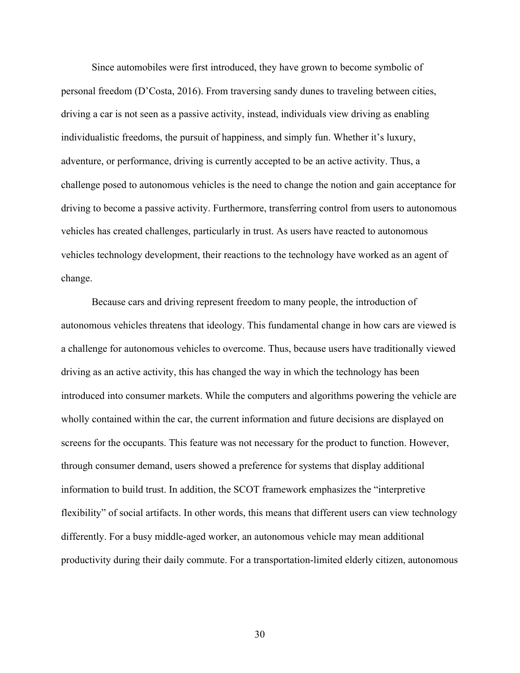Since automobiles were first introduced, they have grown to become symbolic of personal freedom (D'Costa, 2016). From traversing sandy dunes to traveling between cities, driving a car is not seen as a passive activity, instead, individuals view driving as enabling individualistic freedoms, the pursuit of happiness, and simply fun. Whether it's luxury, adventure, or performance, driving is currently accepted to be an active activity. Thus, a challenge posed to autonomous vehicles is the need to change the notion and gain acceptance for driving to become a passive activity. Furthermore, transferring control from users to autonomous vehicles has created challenges, particularly in trust. As users have reacted to autonomous vehicles technology development, their reactions to the technology have worked as an agent of change.

Because cars and driving represent freedom to many people, the introduction of autonomous vehicles threatens that ideology. This fundamental change in how cars are viewed is a challenge for autonomous vehicles to overcome. Thus, because users have traditionally viewed driving as an active activity, this has changed the way in which the technology has been introduced into consumer markets. While the computers and algorithms powering the vehicle are wholly contained within the car, the current information and future decisions are displayed on screens for the occupants. This feature was not necessary for the product to function. However, through consumer demand, users showed a preference for systems that display additional information to build trust. In addition, the SCOT framework emphasizes the "interpretive flexibility" of social artifacts. In other words, this means that different users can view technology differently. For a busy middle-aged worker, an autonomous vehicle may mean additional productivity during their daily commute. For a transportation-limited elderly citizen, autonomous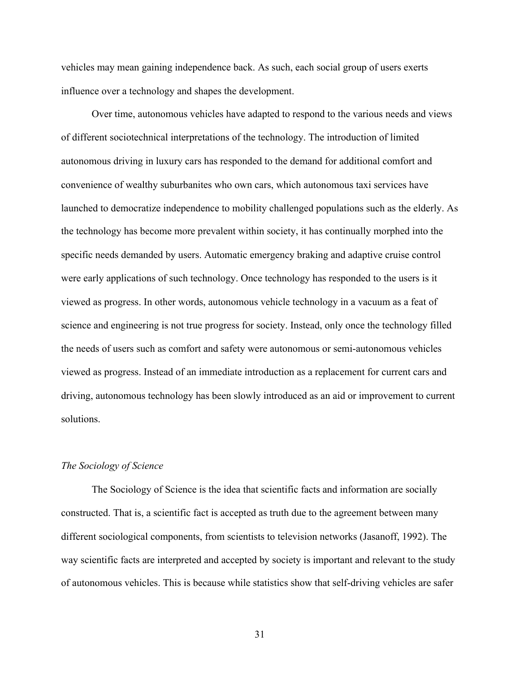vehicles may mean gaining independence back. As such, each social group of users exerts influence over a technology and shapes the development.

Over time, autonomous vehicles have adapted to respond to the various needs and views of different sociotechnical interpretations of the technology. The introduction of limited autonomous driving in luxury cars has responded to the demand for additional comfort and convenience of wealthy suburbanites who own cars, which autonomous taxi services have launched to democratize independence to mobility challenged populations such as the elderly. As the technology has become more prevalent within society, it has continually morphed into the specific needs demanded by users. Automatic emergency braking and adaptive cruise control were early applications of such technology. Once technology has responded to the users is it viewed as progress. In other words, autonomous vehicle technology in a vacuum as a feat of science and engineering is not true progress for society. Instead, only once the technology filled the needs of users such as comfort and safety were autonomous or semi-autonomous vehicles viewed as progress. Instead of an immediate introduction as a replacement for current cars and driving, autonomous technology has been slowly introduced as an aid or improvement to current solutions.

# *The Sociology of Science*

The Sociology of Science is the idea that scientific facts and information are socially constructed. That is, a scientific fact is accepted as truth due to the agreement between many different sociological components, from scientists to television networks (Jasanoff, 1992). The way scientific facts are interpreted and accepted by society is important and relevant to the study of autonomous vehicles. This is because while statistics show that self-driving vehicles are safer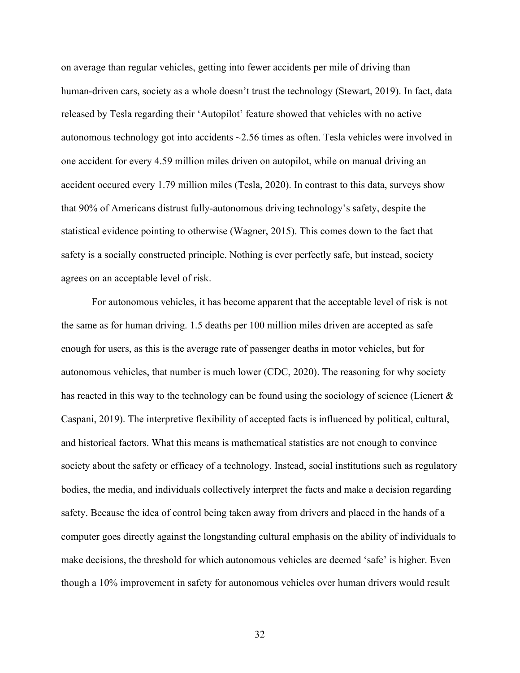on average than regular vehicles, getting into fewer accidents per mile of driving than human-driven cars, society as a whole doesn't trust the technology (Stewart, 2019). In fact, data released by Tesla regarding their 'Autopilot' feature showed that vehicles with no active autonomous technology got into accidents ~2.56 times as often. Tesla vehicles were involved in one accident for every 4.59 million miles driven on autopilot, while on manual driving an accident occured every 1.79 million miles (Tesla, 2020). In contrast to this data, surveys show that 90% of Americans distrust fully-autonomous driving technology's safety, despite the statistical evidence pointing to otherwise (Wagner, 2015). This comes down to the fact that safety is a socially constructed principle. Nothing is ever perfectly safe, but instead, society agrees on an acceptable level of risk.

For autonomous vehicles, it has become apparent that the acceptable level of risk is not the same as for human driving. 1.5 deaths per 100 million miles driven are accepted as safe enough for users, as this is the average rate of passenger deaths in motor vehicles, but for autonomous vehicles, that number is much lower (CDC, 2020). The reasoning for why society has reacted in this way to the technology can be found using the sociology of science (Lienert  $\&$ Caspani, 2019). The interpretive flexibility of accepted facts is influenced by political, cultural, and historical factors. What this means is mathematical statistics are not enough to convince society about the safety or efficacy of a technology. Instead, social institutions such as regulatory bodies, the media, and individuals collectively interpret the facts and make a decision regarding safety. Because the idea of control being taken away from drivers and placed in the hands of a computer goes directly against the longstanding cultural emphasis on the ability of individuals to make decisions, the threshold for which autonomous vehicles are deemed 'safe' is higher. Even though a 10% improvement in safety for autonomous vehicles over human drivers would result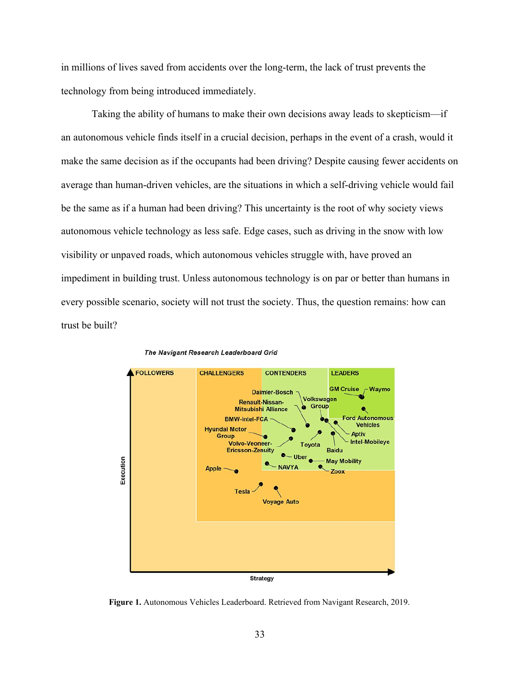in millions of lives saved from accidents over the long-term, the lack of trust prevents the technology from being introduced immediately.

Taking the ability of humans to make their own decisions away leads to skepticism—if an autonomous vehicle finds itself in a crucial decision, perhaps in the event of a crash, would it make the same decision as if the occupants had been driving? Despite causing fewer accidents on average than human-driven vehicles, are the situations in which a self-driving vehicle would fail be the same as if a human had been driving? This uncertainty is the root of why society views autonomous vehicle technology as less safe. Edge cases, such as driving in the snow with low visibility or unpaved roads, which autonomous vehicles struggle with, have proved an impediment in building trust. Unless autonomous technology is on par or better than humans in every possible scenario, society will not trust the society. Thus, the question remains: how can trust be built?





**Figure 1.** Autonomous Vehicles Leaderboard. Retrieved from Navigant Research, 2019.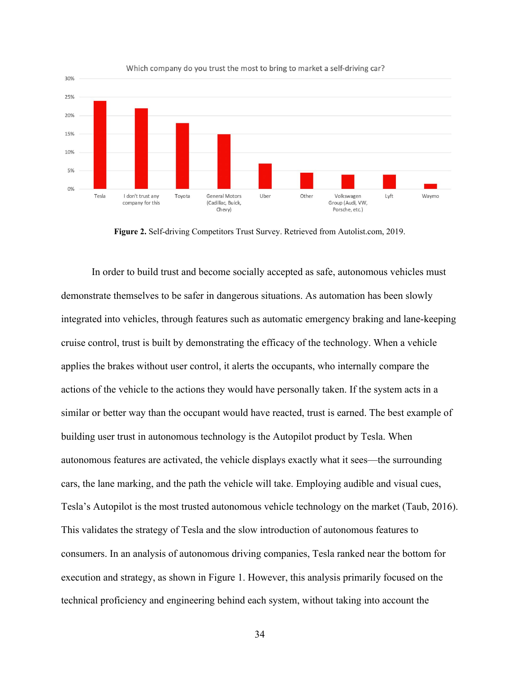

Which company do you trust the most to bring to market a self-driving car?

**Figure 2.** Self-driving Competitors Trust Survey. Retrieved from Autolist.com, 2019.

In order to build trust and become socially accepted as safe, autonomous vehicles must demonstrate themselves to be safer in dangerous situations. As automation has been slowly integrated into vehicles, through features such as automatic emergency braking and lane-keeping cruise control, trust is built by demonstrating the efficacy of the technology. When a vehicle applies the brakes without user control, it alerts the occupants, who internally compare the actions of the vehicle to the actions they would have personally taken. If the system acts in a similar or better way than the occupant would have reacted, trust is earned. The best example of building user trust in autonomous technology is the Autopilot product by Tesla. When autonomous features are activated, the vehicle displays exactly what it sees—the surrounding cars, the lane marking, and the path the vehicle will take. Employing audible and visual cues, Tesla's Autopilot is the most trusted autonomous vehicle technology on the market (Taub, 2016). This validates the strategy of Tesla and the slow introduction of autonomous features to consumers. In an analysis of autonomous driving companies, Tesla ranked near the bottom for execution and strategy, as shown in Figure 1. However, this analysis primarily focused on the technical proficiency and engineering behind each system, without taking into account the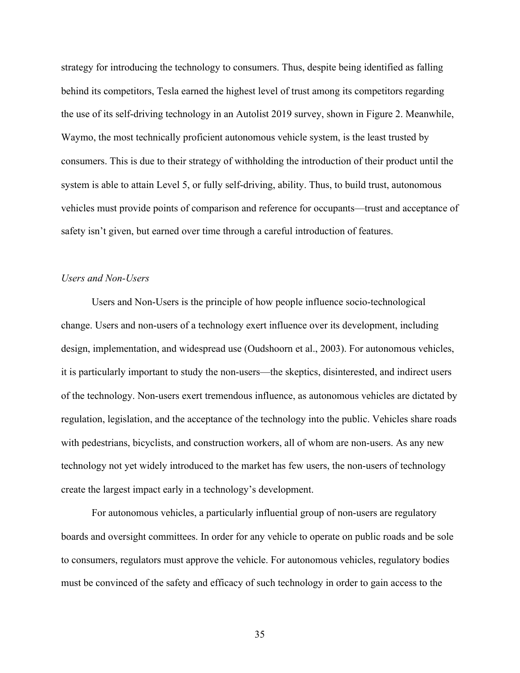strategy for introducing the technology to consumers. Thus, despite being identified as falling behind its competitors, Tesla earned the highest level of trust among its competitors regarding the use of its self-driving technology in an Autolist 2019 survey, shown in Figure 2. Meanwhile, Waymo, the most technically proficient autonomous vehicle system, is the least trusted by consumers. This is due to their strategy of withholding the introduction of their product until the system is able to attain Level 5, or fully self-driving, ability. Thus, to build trust, autonomous vehicles must provide points of comparison and reference for occupants—trust and acceptance of safety isn't given, but earned over time through a careful introduction of features.

# *Users and Non-Users*

Users and Non-Users is the principle of how people influence socio-technological change. Users and non-users of a technology exert influence over its development, including design, implementation, and widespread use (Oudshoorn et al., 2003). For autonomous vehicles, it is particularly important to study the non-users—the skeptics, disinterested, and indirect users of the technology. Non-users exert tremendous influence, as autonomous vehicles are dictated by regulation, legislation, and the acceptance of the technology into the public. Vehicles share roads with pedestrians, bicyclists, and construction workers, all of whom are non-users. As any new technology not yet widely introduced to the market has few users, the non-users of technology create the largest impact early in a technology's development.

For autonomous vehicles, a particularly influential group of non-users are regulatory boards and oversight committees. In order for any vehicle to operate on public roads and be sole to consumers, regulators must approve the vehicle. For autonomous vehicles, regulatory bodies must be convinced of the safety and efficacy of such technology in order to gain access to the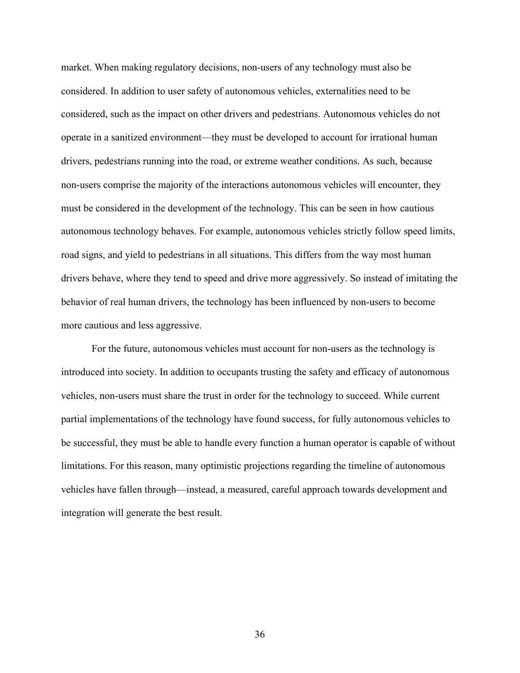market. When making regulatory decisions, non-users of any technology must also be considered. In addition to user safety of autonomous vehicles, externalities need to be considered, such as the impact on other drivers and pedestrians. Autonomous vehicles do not operate in a sanitized environment—they must be developed to account for irrational human drivers, pedestrians running into the road, or extreme weather conditions. As such, because non-users comprise the majority of the interactions autonomous vehicles will encounter, they must be considered in the development of the technology. This can be seen in how cautious autonomous technology behaves. For example, autonomous vehicles strictly follow speed limits, road signs, and yield to pedestrians in all situations. This differs from the way most human drivers behave, where they tend to speed and drive more aggressively. So instead of imitating the behavior of real human drivers, the technology has been influenced by non-users to become more cautious and less aggressive.

For the future, autonomous vehicles must account for non-users as the technology is introduced into society. In addition to occupants trusting the safety and efficacy of autonomous vehicles, non-users must share the trust in order for the technology to succeed. While current partial implementations of the technology have found success, for fully autonomous vehicles to be successful, they must be able to handle every function a human operator is capable of without limitations. For this reason, many optimistic projections regarding the timeline of autonomous vehicles have fallen through—instead, a measured, careful approach towards development and integration will generate the best result.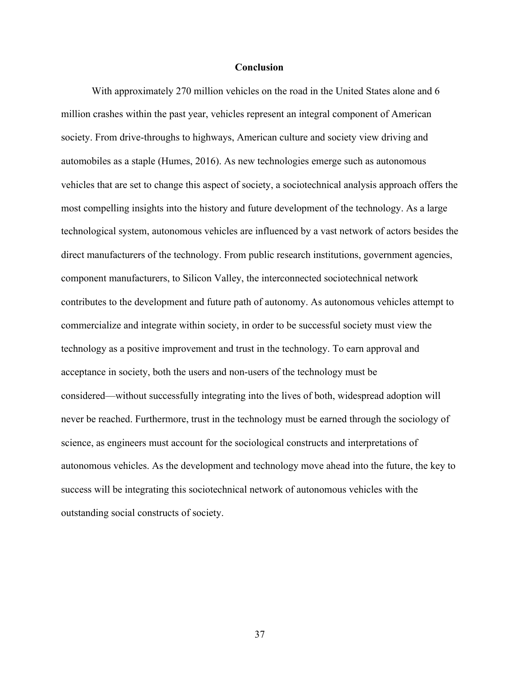## **Conclusion**

With approximately 270 million vehicles on the road in the United States alone and 6 million crashes within the past year, vehicles represent an integral component of American society. From drive-throughs to highways, American culture and society view driving and automobiles as a staple (Humes, 2016). As new technologies emerge such as autonomous vehicles that are set to change this aspect of society, a sociotechnical analysis approach offers the most compelling insights into the history and future development of the technology. As a large technological system, autonomous vehicles are influenced by a vast network of actors besides the direct manufacturers of the technology. From public research institutions, government agencies, component manufacturers, to Silicon Valley, the interconnected sociotechnical network contributes to the development and future path of autonomy. As autonomous vehicles attempt to commercialize and integrate within society, in order to be successful society must view the technology as a positive improvement and trust in the technology. To earn approval and acceptance in society, both the users and non-users of the technology must be considered—without successfully integrating into the lives of both, widespread adoption will never be reached. Furthermore, trust in the technology must be earned through the sociology of science, as engineers must account for the sociological constructs and interpretations of autonomous vehicles. As the development and technology move ahead into the future, the key to success will be integrating this sociotechnical network of autonomous vehicles with the outstanding social constructs of society.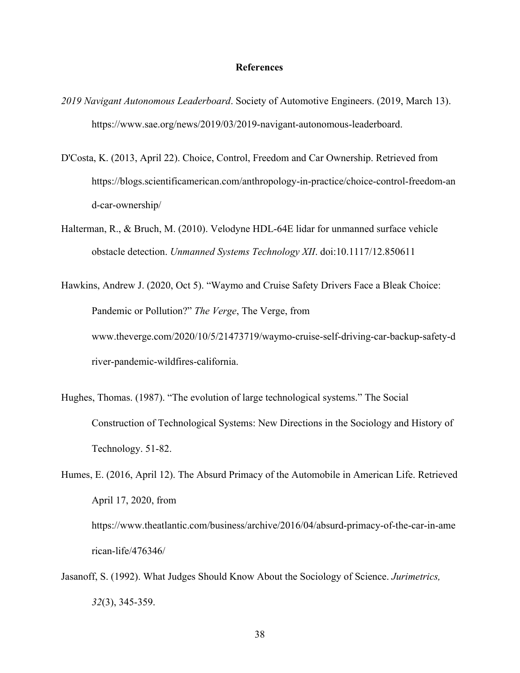## **References**

- *2019 Navigant Autonomous Leaderboard*. Society of Automotive Engineers. (2019, March 13). https://www.sae.org/news/2019/03/2019-navigant-autonomous-leaderboard.
- D'Costa, K. (2013, April 22). Choice, Control, Freedom and Car Ownership. Retrieved from https://blogs.scientificamerican.com/anthropology-in-practice/choice-control-freedom-an d-car-ownership/
- Halterman, R., & Bruch, M. (2010). Velodyne HDL-64E lidar for unmanned surface vehicle obstacle detection. *Unmanned Systems Technology XII*. doi:10.1117/12.850611
- Hawkins, Andrew J. (2020, Oct 5). "Waymo and Cruise Safety Drivers Face a Bleak Choice: Pandemic or Pollution?" *The Verge*, The Verge, from www.theverge.com/2020/10/5/21473719/waymo-cruise-self-driving-car-backup-safety-d river-pandemic-wildfires-california.
- Hughes, Thomas. (1987). "The evolution of large technological systems." The Social Construction of Technological Systems: New Directions in the Sociology and History of Technology. 51-82.
- Humes, E. (2016, April 12). The Absurd Primacy of the Automobile in American Life. Retrieved April 17, 2020, from https://www.theatlantic.com/business/archive/2016/04/absurd-primacy-of-the-car-in-ame rican-life/476346/
- Jasanoff, S. (1992). What Judges Should Know About the Sociology of Science. *Jurimetrics, 32*(3), 345-359.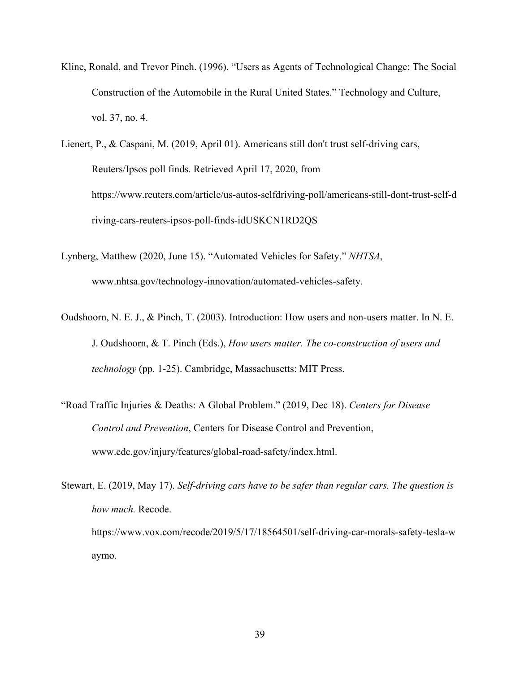Kline, Ronald, and Trevor Pinch. (1996). "Users as Agents of Technological Change: The Social Construction of the Automobile in the Rural United States." Technology and Culture, vol. 37, no. 4.

Lienert, P., & Caspani, M. (2019, April 01). Americans still don't trust self-driving cars, Reuters/Ipsos poll finds. Retrieved April 17, 2020, from https://www.reuters.com/article/us-autos-selfdriving-poll/americans-still-dont-trust-self-d riving-cars-reuters-ipsos-poll-finds-idUSKCN1RD2QS

- Lynberg, Matthew (2020, June 15). "Automated Vehicles for Safety." *NHTSA*, www.nhtsa.gov/technology-innovation/automated-vehicles-safety.
- Oudshoorn, N. E. J., & Pinch, T. (2003). Introduction: How users and non-users matter. In N. E. J. Oudshoorn, & T. Pinch (Eds.), *How users matter. The co-construction of users and technology* (pp. 1-25). Cambridge, Massachusetts: MIT Press.
- "Road Traffic Injuries & Deaths: A Global Problem." (2019, Dec 18). *Centers for Disease Control and Prevention*, Centers for Disease Control and Prevention, www.cdc.gov/injury/features/global-road-safety/index.html.

Stewart, E. (2019, May 17). *Self-driving cars have to be safer than regular cars. The question is how much.* Recode. https://www.vox.com/recode/2019/5/17/18564501/self-driving-car-morals-safety-tesla-w aymo.